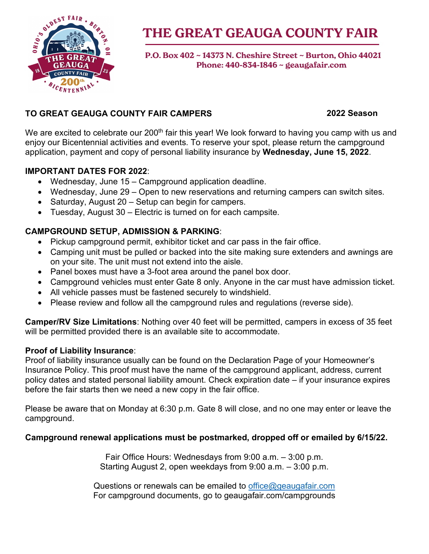

# **THE GREAT GEAUGA COUNTY FAIR**

 **P.O. Box 402 ~ 14373 N. Cheshire Street ~ Burton, Ohio 44021 Phone: 440-834-1846 ~ geaugafair.com**

### **TO GREAT GEAUGA COUNTY FAIR CAMPERS**

#### **2022 Season**

We are excited to celebrate our 200<sup>th</sup> fair this year! We look forward to having you camp with us and enjoy our Bicentennial activities and events. To reserve your spot, please return the campground application, payment and copy of personal liability insurance by **Wednesday, June 15, 2022**.

### **IMPORTANT DATES FOR 2022**:

- Wednesday, June 15 Campground application deadline.
- Wednesday, June 29 Open to new reservations and returning campers can switch sites.
- Saturday, August 20 Setup can begin for campers.
- Tuesday, August 30 Electric is turned on for each campsite.

### **CAMPGROUND SETUP, ADMISSION & PARKING**:

- Pickup campground permit, exhibitor ticket and car pass in the fair office.
- Camping unit must be pulled or backed into the site making sure extenders and awnings are on your site. The unit must not extend into the aisle.
- Panel boxes must have a 3-foot area around the panel box door.
- Campground vehicles must enter Gate 8 only. Anyone in the car must have admission ticket.
- All vehicle passes must be fastened securely to windshield.
- Please review and follow all the campground rules and regulations (reverse side).

**Camper/RV Size Limitations**: Nothing over 40 feet will be permitted, campers in excess of 35 feet will be permitted provided there is an available site to accommodate.

#### **Proof of Liability Insurance**:

Proof of liability insurance usually can be found on the Declaration Page of your Homeowner's Insurance Policy. This proof must have the name of the campground applicant, address, current policy dates and stated personal liability amount. Check expiration date – if your insurance expires before the fair starts then we need a new copy in the fair office.

Please be aware that on Monday at 6:30 p.m. Gate 8 will close, and no one may enter or leave the campground.

#### **Campground renewal applications must be postmarked, dropped off or emailed by 6/15/22.**

Fair Office Hours: Wednesdays from 9:00 a.m. – 3:00 p.m. Starting August 2, open weekdays from 9:00 a.m. – 3:00 p.m.

Questions or renewals can be emailed to [office@geaugafair.com](mailto:office@geaugafair.com) For campground documents, go to geaugafair.com/campgrounds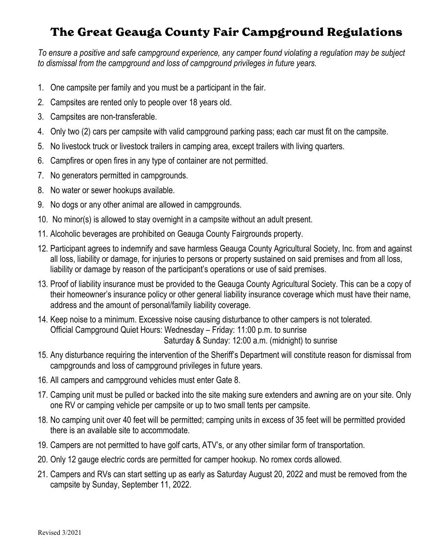## **The Great Geauga County Fair Campground Regulations**

*To ensure a positive and safe campground experience, any camper found violating a regulation may be subject to dismissal from the campground and loss of campground privileges in future years.*

- 1. One campsite per family and you must be a participant in the fair.
- 2. Campsites are rented only to people over 18 years old.
- 3. Campsites are non-transferable.
- 4. Only two (2) cars per campsite with valid campground parking pass; each car must fit on the campsite.
- 5. No livestock truck or livestock trailers in camping area, except trailers with living quarters.
- 6. Campfires or open fires in any type of container are not permitted.
- 7. No generators permitted in campgrounds.
- 8. No water or sewer hookups available.
- 9. No dogs or any other animal are allowed in campgrounds.
- 10. No minor(s) is allowed to stay overnight in a campsite without an adult present.
- 11. Alcoholic beverages are prohibited on Geauga County Fairgrounds property.
- 12. Participant agrees to indemnify and save harmless Geauga County Agricultural Society, Inc. from and against all loss, liability or damage, for injuries to persons or property sustained on said premises and from all loss, liability or damage by reason of the participant's operations or use of said premises.
- 13. Proof of liability insurance must be provided to the Geauga County Agricultural Society. This can be a copy of their homeowner's insurance policy or other general liability insurance coverage which must have their name, address and the amount of personal/family liability coverage.
- 14. Keep noise to a minimum. Excessive noise causing disturbance to other campers is not tolerated. Official Campground Quiet Hours: Wednesday – Friday: 11:00 p.m. to sunrise Saturday & Sunday: 12:00 a.m. (midnight) to sunrise
- 15. Any disturbance requiring the intervention of the Sheriff's Department will constitute reason for dismissal from campgrounds and loss of campground privileges in future years.
- 16. All campers and campground vehicles must enter Gate 8.
- 17. Camping unit must be pulled or backed into the site making sure extenders and awning are on your site. Only one RV or camping vehicle per campsite or up to two small tents per campsite.
- 18. No camping unit over 40 feet will be permitted; camping units in excess of 35 feet will be permitted provided there is an available site to accommodate.
- 19. Campers are not permitted to have golf carts, ATV's, or any other similar form of transportation.
- 20. Only 12 gauge electric cords are permitted for camper hookup. No romex cords allowed.
- 21. Campers and RVs can start setting up as early as Saturday August 20, 2022 and must be removed from the campsite by Sunday, September 11, 2022.